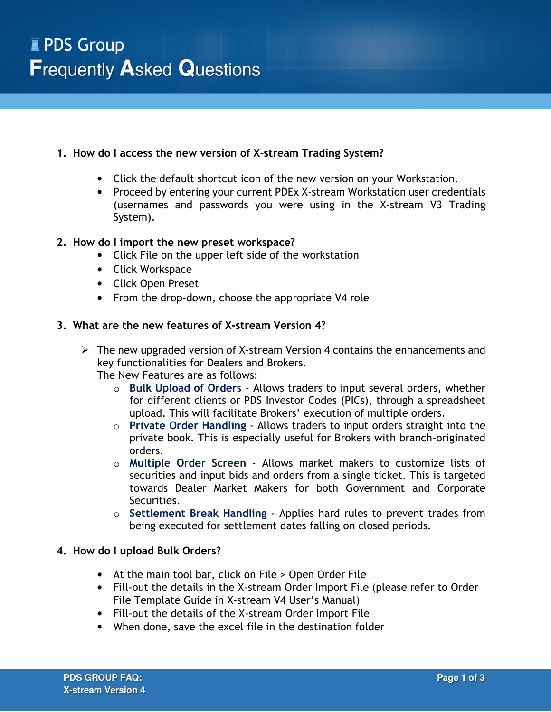# **1. How do I access the new version of X-stream Trading System?**

- Click the default shortcut icon of the new version on your Workstation.
- Proceed by entering your current PDEx X-stream Workstation user credentials (usernames and passwords you were using in the X-stream V3 Trading System).

# **2. How do I import the new preset workspace?**

- Click File on the upper left side of the workstation
- Click Workspace
- Click Open Preset
- From the drop-down, choose the appropriate V4 role

# **3. What are the new features of X-stream Version 4?**

 $\triangleright$  The new upgraded version of X-stream Version 4 contains the enhancements and key functionalities for Dealers and Brokers.

The New Features are as follows:

- o **Bulk Upload of Orders** Allows traders to input several orders, whether for different clients or PDS Investor Codes (PICs), through a spreadsheet upload. This will facilitate Brokers' execution of multiple orders.
- o **Private Order Handling** Allows traders to input orders straight into the private book. This is especially useful for Brokers with branch-originated orders.
- o **Multiple Order Screen** Allows market makers to customize lists of securities and input bids and orders from a single ticket. This is targeted towards Dealer Market Makers for both Government and Corporate Securities.
- o **Settlement Break Handling** Applies hard rules to prevent trades from being executed for settlement dates falling on closed periods.

#### **4. How do I upload Bulk Orders?**

- At the main tool bar, click on File > Open Order File
- Fill-out the details in the X-stream Order Import File (please refer to Order File Template Guide in X-stream V4 User's Manual)
- Fill-out the details of the X-stream Order Import File
- When done, save the excel file in the destination folder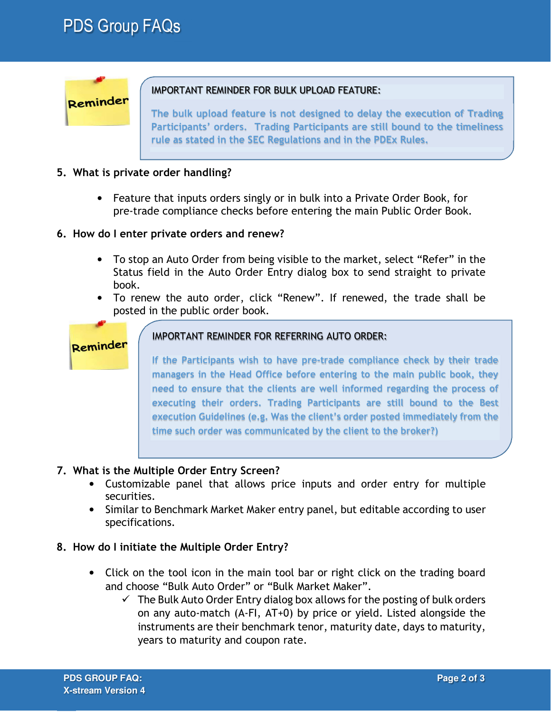# PDS Group FAQs



# IMPORTANT REMINDER FOR BULK UPLOAD FEATURE:

**The bulk upload feature is not designed to delay the execution of Trading Participants' orders. Trading Participants are still bound to the timeliness rule as stated in the SEC Regulations and in the PDEx Rules.** 

# **5. What is private order handling?**

• Feature that inputs orders singly or in bulk into a Private Order Book, for pre-trade compliance checks before entering the main Public Order Book.

#### **6. How do I enter private orders and renew?**

- To stop an Auto Order from being visible to the market, select "Refer" in the Status field in the Auto Order Entry dialog box to send straight to private book.
- To renew the auto order, click "Renew". If renewed, the trade shall be posted in the public order book.

# Reminder

# IMPORTANT REMINDER FOR REFERRING AUTO ORDER:

**If the Participants wish to have pre-trade compliance check by their trade managers in the Head Office before entering to the main public book, they need to ensure that the clients are well informed regarding the process of executing their orders. Trading Participants are still bound to the Best execution Guidelines (e.g. Was the client's order posted immediately from the time such order was communicated by the client to the broker?)** 

# **7. What is the Multiple Order Entry Screen?**

- Customizable panel that allows price inputs and order entry for multiple securities.
- Similar to Benchmark Market Maker entry panel, but editable according to user specifications.

# **8. How do I initiate the Multiple Order Entry?**

- Click on the tool icon in the main tool bar or right click on the trading board and choose "Bulk Auto Order" or "Bulk Market Maker".
	- $\checkmark$  The Bulk Auto Order Entry dialog box allows for the posting of bulk orders on any auto-match (A-FI, AT+0) by price or yield. Listed alongside the instruments are their benchmark tenor, maturity date, days to maturity, years to maturity and coupon rate.